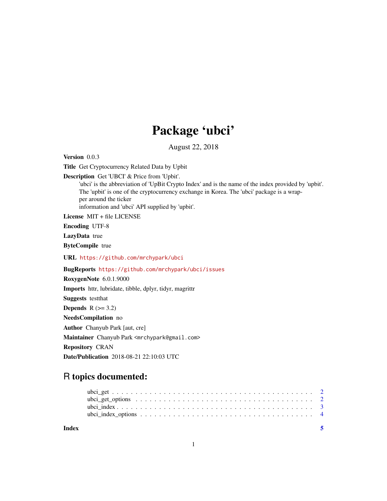## Package 'ubci'

August 22, 2018

Version 0.0.3 Title Get Cryptocurrency Related Data by Upbit Description Get 'UBCI' & Price from 'Upbit'. 'ubci' is the abbreviation of 'UpBit Crypto Index' and is the name of the index provided by 'upbit'. The 'upbit' is one of the cryptocurrency exchange in Korea. The 'ubci' package is a wrapper around the ticker information and 'ubci' API supplied by 'upbit'. License MIT + file LICENSE Encoding UTF-8 LazyData true ByteCompile true URL <https://github.com/mrchypark/ubci> BugReports <https://github.com/mrchypark/ubci/issues> RoxygenNote 6.0.1.9000 Imports httr, lubridate, tibble, dplyr, tidyr, magrittr Suggests testthat Depends  $R$  ( $>= 3.2$ ) NeedsCompilation no Author Chanyub Park [aut, cre] Maintainer Chanyub Park <mrchypark@gmail.com> Repository CRAN Date/Publication 2018-08-21 22:10:03 UTC

### R topics documented:

| Index | - 5 |
|-------|-----|
|       |     |
|       |     |
|       |     |
|       |     |

1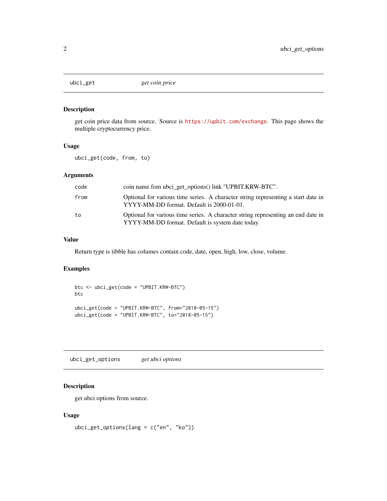<span id="page-1-0"></span>

#### Description

get coin price data from source. Source is <https://upbit.com/exchange>. This page shows the multiple cryptocurrency price.

#### Usage

ubci\_get(code, from, to)

#### Arguments

| code | coin name fom ubci_get_options() link "UPBIT.KRW-BTC".                                                                               |
|------|--------------------------------------------------------------------------------------------------------------------------------------|
| from | Optional for various time series. A character string representing a start date in<br>YYYY-MM-DD format. Default is 2000-01-01.       |
| to   | Optional for various time series. A character string representing an end date in<br>YYYY-MM-DD format. Default is system date today. |

#### Value

Return type is tibble has columes contain code, date, open, high, low, close, volume.

#### Examples

```
btc <- ubci_get(code = "UPBIT.KRW-BTC")
btc
ubci_get(code = "UPBIT.KRW-BTC", from="2018-05-15")
ubci_get(code = "UPBIT.KRW-BTC", to="2018-05-15")
```
ubci\_get\_options *get ubci options*

#### Description

get ubci options from source.

#### Usage

```
ubci_get_options(lang = c("en", "ko"))
```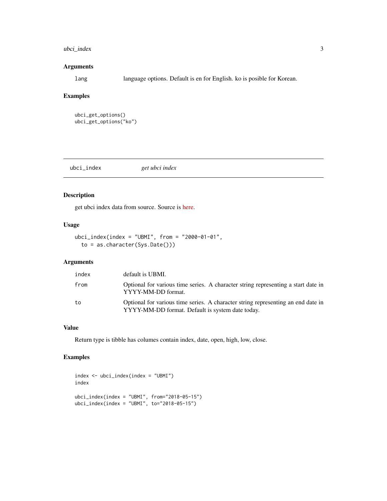#### <span id="page-2-0"></span>ubci\_index 3

#### Arguments

lang language options. Default is en for English. ko is posible for Korean.

#### Examples

```
ubci_get_options()
ubci_get_options("ko")
```

| ubci_index | get ubci index |  |
|------------|----------------|--|
|            |                |  |

#### Description

get ubci index data from source. Source is [here.](https://www.ubcindex.com/indexes)

#### Usage

```
ubci_index(intdev = "UBMI", from = "2000-01-01",to = as.character(Sys.Date()))
```
#### Arguments

| index | default is UBMI.                                                                                                                     |
|-------|--------------------------------------------------------------------------------------------------------------------------------------|
| from  | Optional for various time series. A character string representing a start date in<br>YYYY-MM-DD format.                              |
| to    | Optional for various time series. A character string representing an end date in<br>YYYY-MM-DD format. Default is system date today. |

#### Value

Return type is tibble has columes contain index, date, open, high, low, close.

#### Examples

```
index <- ubci_index(index = "UBMI")
index
ubci_index(index = "UBMI", from="2018-05-15")
ubci_index(index = "UBMI", to="2018-05-15")
```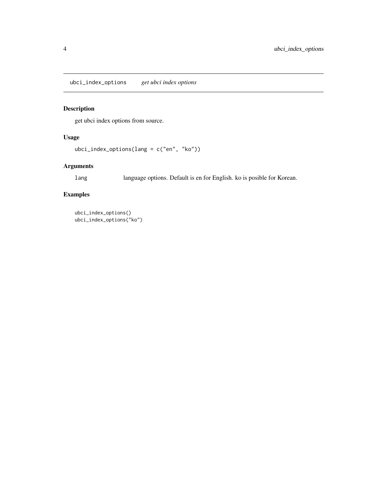<span id="page-3-0"></span>ubci\_index\_options *get ubci index options*

#### Description

get ubci index options from source.

#### Usage

```
ubci_index_options(lang = c("en", "ko"))
```
#### Arguments

lang language options. Default is en for English. ko is posible for Korean.

#### Examples

```
ubci_index_options()
ubci_index_options("ko")
```